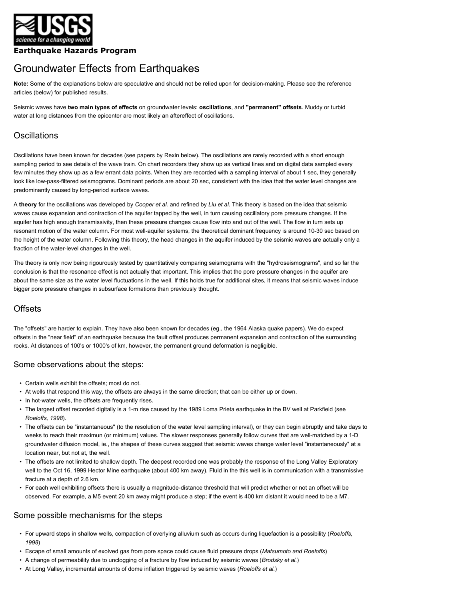

### **Earthquake Hazards Program**

# Groundwater Effects from Earthquakes

**Note:** Some of the explanations below are speculative and should not be relied upon for decision-making. Please see the reference articles (below) for published results.

Seismic waves have **two main types of effects** on groundwater levels: **oscillations**, and **"permanent" offsets**. Muddy or turbid water at long distances from the epicenter are most likely an aftereffect of oscillations.

# **Oscillations**

Oscillations have been known for decades (see papers by Rexin below). The oscillations are rarely recorded with a short enough sampling period to see details of the wave train. On chart recorders they show up as vertical lines and on digital data sampled every few minutes they show up as a few errant data points. When they are recorded with a sampling interval of about 1 sec, they generally look like low-pass-filtered seismograms. Dominant periods are about 20 sec, consistent with the idea that the water level changes are predominantly caused by long-period surface waves.

A **theory** for the oscillations was developed by *Cooper et al.* and refined by *Liu et al.* This theory is based on the idea that seismic waves cause expansion and contraction of the aquifer tapped by the well, in turn causing oscillatory pore pressure changes. If the aquifer has high enough transmissivity, then these pressure changes cause flow into and out of the well. The flow in turn sets up resonant motion of the water column. For most well-aquifer systems, the theoretical dominant frequency is around 10-30 sec based on the height of the water column. Following this theory, the head changes in the aquifer induced by the seismic waves are actually only a fraction of the water-level changes in the well.

The theory is only now being rigourously tested by quantitatively comparing seismograms with the "hydroseismograms", and so far the conclusion is that the resonance effect is not actually that important. This implies that the pore pressure changes in the aquifer are about the same size as the water level fluctuations in the well. If this holds true for additional sites, it means that seismic waves induce bigger pore pressure changes in subsurface formations than previously thought.

# **Offsets**

The "offsets" are harder to explain. They have also been known for decades (eg., the 1964 Alaska quake papers). We do expect offsets in the "near field" of an earthquake because the fault offset produces permanent expansion and contraction of the surrounding rocks. At distances of 100's or 1000's of km, however, the permanent ground deformation is negligible.

#### Some observations about the steps:

- Certain wells exhibit the offsets; most do not.
- At wells that respond this way, the offsets are always in the same direction; that can be either up or down.
- In hot-water wells, the offsets are frequently rises.
- The largest offset recorded digitally is a 1-m rise caused by the 1989 Loma Prieta earthquake in the BV well at Parkfield (see *Roeloffs, 1998*).
- The offsets can be "instantaneous" (to the resolution of the water level sampling interval), or they can begin abruptly and take days to weeks to reach their maximun (or minimum) values. The slower responses generally follow curves that are well-matched by a 1-D groundwater diffusion model, ie., the shapes of these curves suggest that seismic waves change water level "instantaneously" at a location near, but not at, the well.
- The offsets are not limited to shallow depth. The deepest recorded one was probably the response of the Long Valley Exploratory well to the Oct 16, 1999 Hector Mine earthquake (about 400 km away). Fluid in the this well is in communication with a transmissive fracture at a depth of 2.6 km.
- For each well exhibiting offsets there is usually a magnitude-distance threshold that will predict whether or not an offset will be observed. For example, a M5 event 20 km away might produce a step; if the event is 400 km distant it would need to be a M7.

# Some possible mechanisms for the steps

- For upward steps in shallow wells, compaction of overlying alluvium such as occurs during liquefaction is a possibility (*Roeloffs, 1998*)
- Escape of small amounts of exolved gas from pore space could cause fluid pressure drops (*Matsumoto and Roeloffs*)
- A change of permeability due to unclogging of a fracture by flow induced by seismic waves (*Brodsky et al.*)
- At Long Valley, incremental amounts of dome inflation triggered by seismic waves (*Roeloffs et al.*)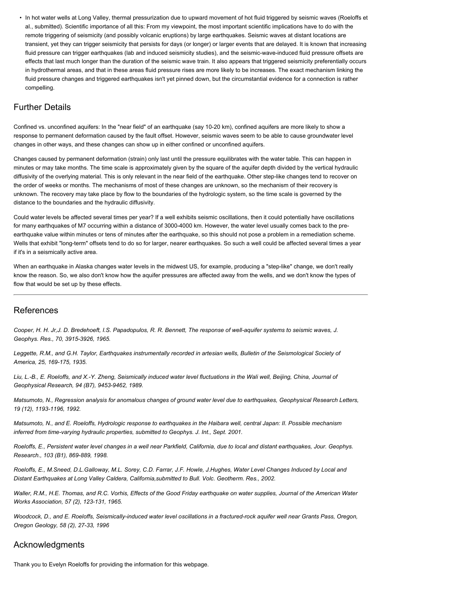• In hot water wells at Long Valley, thermal pressurization due to upward movement of hot fluid triggered by seismic waves (Roeloffs et al., submitted). Scientific importance of all this: From my viewpoint, the most important scientific implications have to do with the remote triggering of seismicity (and possibly volcanic eruptions) by large earthquakes. Seismic waves at distant locations are transient, yet they can trigger seismicity that persists for days (or longer) or larger events that are delayed. It is known that increasing fluid pressure can trigger earthquakes (lab and induced seismicity studies), and the seismic-wave-induced fluid pressure offsets are effects that last much longer than the duration of the seismic wave train. It also appears that triggered seismicity preferentially occurs in hydrothermal areas, and that in these areas fluid pressure rises are more likely to be increases. The exact mechanism linking the fluid pressure changes and triggered earthquakes isn't yet pinned down, but the circumstantial evidence for a connection is rather compelling.

# Further Details

Confined vs. unconfined aquifers: In the "near field" of an earthquake (say 10-20 km), confined aquifers are more likely to show a response to permanent deformation caused by the fault offset. However, seismic waves seem to be able to cause groundwater level changes in other ways, and these changes can show up in either confined or unconfined aquifers.

Changes caused by permanent deformation (strain) only last until the pressure equilibrates with the water table. This can happen in minutes or may take months. The time scale is approximately given by the square of the aquifer depth divided by the vertical hydraulic diffusivity of the overlying material. This is only relevant in the near field of the earthquake. Other step-like changes tend to recover on the order of weeks or months. The mechanisms of most of these changes are unknown, so the mechanism of their recovery is unknown. The recovery may take place by flow to the boundaries of the hydrologic system, so the time scale is governed by the distance to the boundaries and the hydraulic diffusivity.

Could water levels be affected several times per year? If a well exhibits seismic oscillations, then it could potentially have oscillations for many earthquakes of M7 occurring within a distance of 3000-4000 km. However, the water level usually comes back to the preearthquake value within minutes or tens of minutes after the earthquake, so this should not pose a problem in a remediation scheme. Wells that exhibit "long-term" offsets tend to do so for larger, nearer earthquakes. So such a well could be affected several times a year if it's in a seismically active area.

When an earthquake in Alaska changes water levels in the midwest US, for example, producing a "step-like" change, we don't really know the reason. So, we also don't know how the aquifer pressures are affected away from the wells, and we don't know the types of flow that would be set up by these effects.

# References

*Cooper, H. H. Jr,J. D. Bredehoeft, I.S. Papadopulos, R. R. Bennett, The response of well-aquifer systems to seismic waves, J. Geophys. Res., 70, 3915-3926, 1965.*

Leggette, R.M., and G.H. Taylor, Earthquakes instrumentally recorded in artesian wells, Bulletin of the Seismological Society of *America, 25, 169-175, 1935.*

Liu, L.-B., E. Roeloffs, and X.-Y. Zheng, Seismically induced water level fluctuations in the Wali well, Beijing, China, Journal of *Geophysical Research, 94 (B7), 9453-9462, 1989.*

*Matsumoto, N., Regression analysis for anomalous changes of ground water level due to earthquakes, Geophysical Research Letters, 19 (12), 1193-1196, 1992.*

*Matsumoto, N., and E. Roeloffs, Hydrologic response to earthquakes in the Haibara well, central Japan: II. Possible mechanism inferred from time-varying hydraulic properties, submitted to Geophys. J. Int., Sept. 2001.*

*Roeloffs, E., Persistent water level changes in a well near Parkfield, California, due to local and distant earthquakes, Jour. Geophys. Research., 103 (B1), 869-889, 1998.*

*Roeloffs, E., M.Sneed, D.L.Galloway, M.L. Sorey, C.D. Farrar, J.F. Howle, J.Hughes, Water Level Changes Induced by Local and Distant Earthquakes at Long Valley Caldera, California,submitted to Bull. Volc. Geotherm. Res., 2002.*

*Waller, R.M., H.E. Thomas, and R.C. Vorhis, Effects of the Good Friday earthquake on water supplies, Journal of the American Water Works Association, 57 (2), 123-131, 1965.*

*Woodcock, D., and E. Roeloffs, Seismically-induced water level oscillations in a fractured-rock aquifer well near Grants Pass, Oregon, Oregon Geology, 58 (2), 27-33, 1996*

# Acknowledgments

Thank you to Evelyn Roeloffs for providing the information for this webpage.